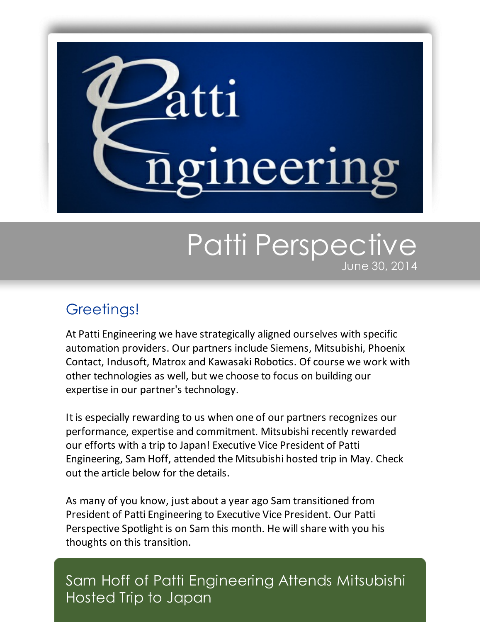

## Patti Perspective June 30, 2014

## Greetings!

At Patti Engineering we have strategically aligned ourselves with specific automation providers. Our partners include Siemens, Mitsubishi, Phoenix Contact, Indusoft, Matrox and Kawasaki Robotics. Of course we work with other technologies as well, but we choose to focus on building our expertise in our partner's technology.

It is especially rewarding to us when one of our partners recognizes our performance, expertise and commitment. Mitsubishi recently rewarded our efforts with a trip to Japan! Executive Vice President of Patti Engineering, Sam Hoff, attended the Mitsubishi hosted trip in May. Check out the article below for the details.

As many of you know, just about a year ago Sam transitioned from President of Patti Engineering to Executive Vice President. Our Patti Perspective Spotlight is on Sam this month. He will share with you his thoughts on this transition.

Sam Hoff of Patti Engineering Attends Mitsubishi Hosted Trip to Japan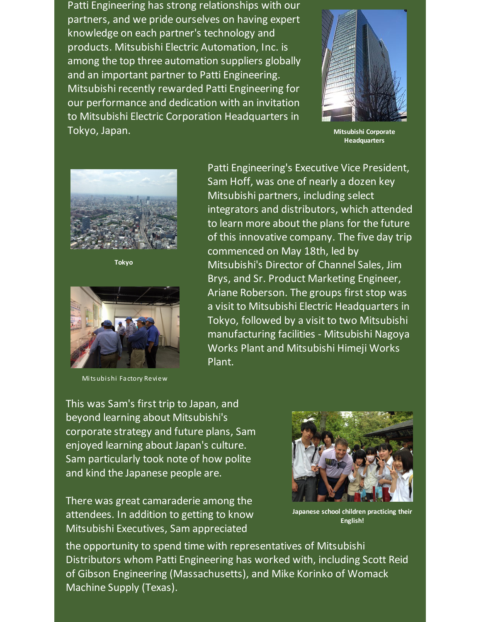Patti Engineering has strong relationships with our partners, and we pride ourselves on having expert knowledge on each partner's technology and products. Mitsubishi Electric Automation, Inc. is among the top three automation suppliers globally and an important partner to Patti Engineering. Mitsubishi recently rewarded Patti Engineering for our performance and dedication with an invitation to Mitsubishi Electric Corporation Headquarters in Tokyo, Japan.



**Mitsubishi Corporate Headquarters**



**Tokyo**



Mitsubishi Factory Review

Patti Engineering's Executive Vice President, Sam Hoff, was one of nearly a dozen key Mitsubishi partners, including select integrators and distributors, which attended to learn more about the plans for the future of this innovative company. The five day trip commenced on May 18th, led by Mitsubishi's Director of Channel Sales, Jim Brys, and Sr. Product Marketing Engineer, Ariane Roberson. The groups first stop was a visit to Mitsubishi Electric Headquarters in Tokyo, followed by a visit to two Mitsubishi manufacturing facilities - Mitsubishi Nagoya Works Plant and Mitsubishi Himeji Works Plant.

This was Sam's first trip to Japan, and beyond learning about Mitsubishi's corporate strategy and future plans, Sam enjoyed learning about Japan's culture. Sam particularly took note of how polite and kind the Japanese people are.

There was great camaraderie among the attendees. In addition to getting to know Mitsubishi Executives, Sam appreciated



**Japanese school children practicing their English!**

the opportunity to spend time with representatives of Mitsubishi Distributors whom Patti Engineering has worked with, including Scott Reid of Gibson Engineering (Massachusetts), and Mike Korinko of Womack Machine Supply (Texas).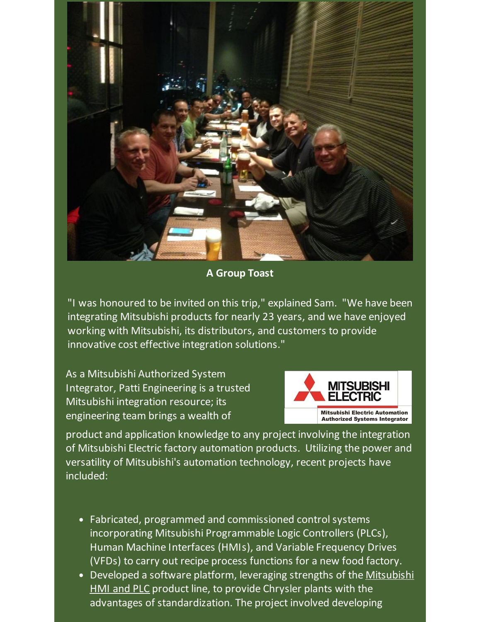

**A Group Toast**

"I was honoured to be invited on this trip," explained Sam. "We have been integrating Mitsubishi products for nearly 23 years, and we have enjoyed working with Mitsubishi, its distributors, and customers to provide innovative cost effective integration solutions."

As a Mitsubishi Authorized System Integrator, Patti Engineering is a trusted Mitsubishi integration resource; its engineering team brings a wealth of



product and application knowledge to any project involving the integration of Mitsubishi Electric factory automation products. Utilizing the power and versatility of Mitsubishi's automation technology, recent projects have included:

- Fabricated, programmed and commissioned control systems incorporating Mitsubishi Programmable Logic Controllers (PLCs), Human Machine Interfaces (HMIs), and Variable Frequency Drives (VFDs) to carry out recipe process functions for a new food factory.
- [Developed](http://pattiengineering.com/newsroom/news/unparalleled-success-chrysler/?utm_source=Patti+Perspective_June_2014_Final&utm_campaign=Newsletter+June+2014&utm_medium=email) a software platform, leveraging strengths of the Mitsubishi HMI and PLC product line, to provide Chrysler plants with the advantages of standardization. The project involved developing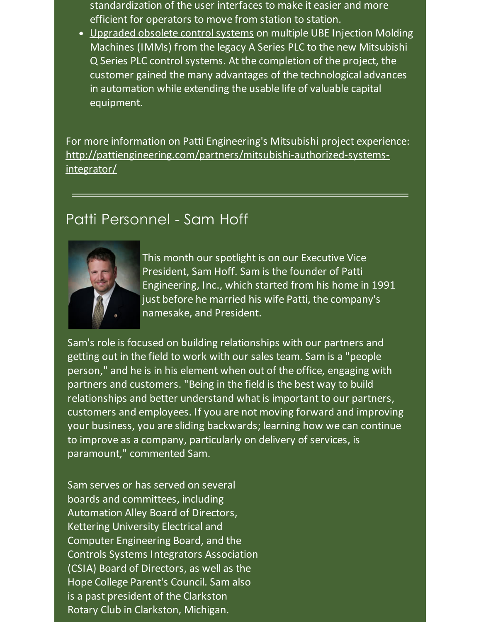standardization of the user interfaces to make it easier and more efficient for operators to move from station to station.

• Upgraded obsolete control systems on multiple UBE Injection Molding Machines (IMMs) from the legacy A Series PLC to the new Mitsubishi Q Series PLC control systems. At the completion of the project, the customer gained the many advantages of the technological advances in automation while extending the usable life of valuable capital equipment.

For more information on Patti Engineering's Mitsubishi project experience: [http://pattiengineering.com/partners/mitsubishi-authorized-systems](http://pattiengineering.com/partners/mitsubishi-authorized-systems-integrator/?utm_source=Patti+Perspective_June_2014_Final&utm_campaign=Newsletter+June+2014&utm_medium=email)integrator/

## Patti Personnel - Sam Hoff



This month our spotlight is on our Executive Vice President, Sam Hoff. Sam is the founder of Patti Engineering, Inc., which started from his home in 1991 just before he married his wife Patti, the company's namesake, and President.

Sam's role is focused on building relationships with our partners and getting out in the field to work with our sales team. Sam is a "people person," and he is in his element when out of the office, engaging with partners and customers. "Being in the field is the best way to build relationships and better understand what is important to our partners, customers and employees. If you are not moving forward and improving your business, you are sliding backwards; learning how we can continue to improve as a company, particularly on delivery of services, is paramount," commented Sam.

Sam serves or has served on several boards and committees, including Automation Alley Board of Directors, Kettering University Electrical and Computer Engineering Board, and the Controls Systems Integrators Association (CSIA) Board of Directors, as well as the Hope College Parent's Council. Sam also is a past president of the Clarkston Rotary Club in Clarkston, Michigan.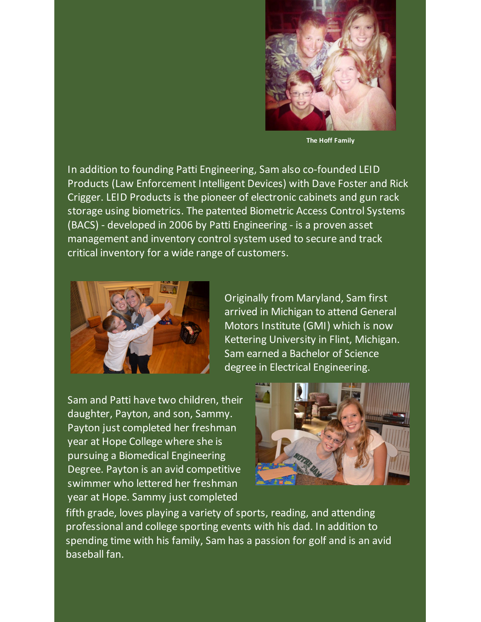

**The Hoff Family**

In addition to founding Patti Engineering, Sam also co-founded LEID Products (Law Enforcement Intelligent Devices) with Dave Foster and Rick Crigger. LEID Products is the pioneer of electronic cabinets and gun rack storage using biometrics. The patented Biometric Access Control Systems (BACS) - developed in 2006 by Patti Engineering - is a proven asset management and inventory controlsystem used to secure and track critical inventory for a wide range of customers.



Originally from Maryland, Sam first arrived in Michigan to attend General Motors Institute (GMI) which is now Kettering University in Flint, Michigan. Sam earned a Bachelor of Science degree in Electrical Engineering.

Sam and Patti have two children, their daughter, Payton, and son, Sammy. Payton just completed her freshman year at Hope College where she is pursuing a Biomedical Engineering Degree. Payton is an avid competitive swimmer who lettered her freshman year at Hope. Sammy just completed



fifth grade, loves playing a variety of sports, reading, and attending professional and college sporting events with his dad. In addition to spending time with his family, Sam has a passion for golf and is an avid baseball fan.